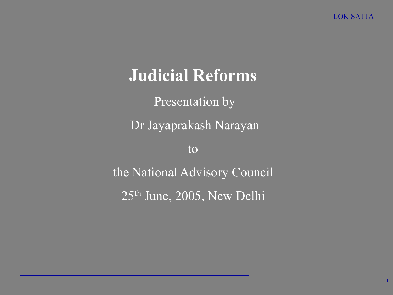1

## Judicial Reforms

Presentation by Dr Jayaprakash Narayan to the National Advisory Council 25th June, 2005, New Delhi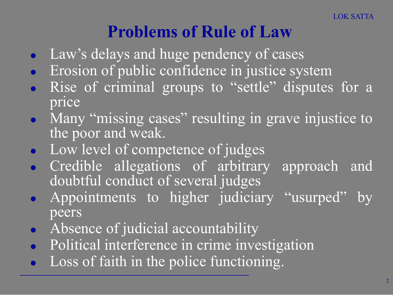# Problems of Rule of Law

- Law's delays and huge pendency of cases
- Erosion of public confidence in justice system
- Rise of criminal groups to "settle" disputes for a price
- Many "missing cases" resulting in grave injustice to the poor and weak.
- Low level of competence of judges
- Credible allegations of arbitrary approach and doubtful conduct of several judges
- Appointments to higher judiciary "usurped" by peers
- Absence of judicial accountability
- Political interference in crime investigation
- Loss of faith in the police functioning.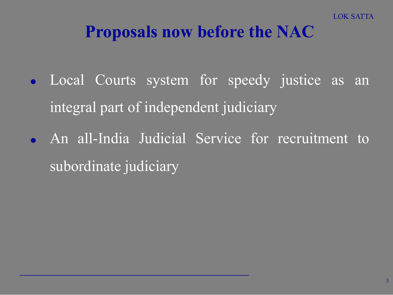#### Proposals now before the NAC

- **.** Local Courts system for speedy justice as an integral part of independent judiciary
- An all-India Judicial Service for recruitment to subordinate judiciary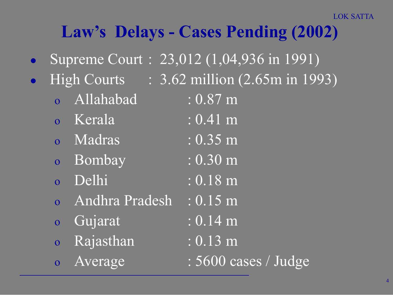# Law's Delays - Cases Pending (2002)

- Supreme Court : 23,012 (1,04,936 in 1991)
- - Allahabad : 0.87 m
	- o Kerala : 0.41 m
	- o Madras : 0.35 m
	- o Bombay : 0.30 m
	- o Delhi : 0.18 m
	- o Andhra Pradesh : 0.15 m
	- o Gujarat : 0.14 m
	- o Rajasthan : 0.13 m
	-

High Courts : 3.62 million (2.65m in 1993)

- 
- 
- 
- 
- 
- -
	-
- o Average : 5600 cases / Judge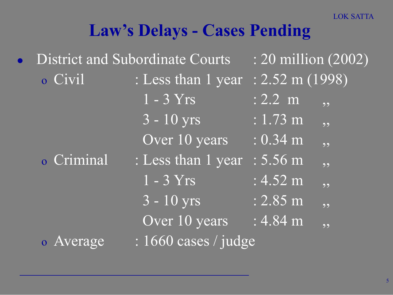LOK SATTA

#### Law's Delays - Cases Pending

| <b>District and Subordinate Courts</b> |                    | $\div 20$ million (2002)             |
|----------------------------------------|--------------------|--------------------------------------|
| o Civil                                | : Less than 1 year | $: 2.52 \text{ m} (1998)$            |
|                                        | $1 - 3 Yrs$        | $: 2.2 \text{ m}$<br>, 9             |
|                                        | $\sqrt{3-10}$ yrs  | $\overline{1:}$ 1.73 m<br>55         |
|                                        | Over 10 years      | $: 0.34 \text{ m}$<br>, 9            |
| o Criminal                             | : Less than 1 year | $: 5.56 \; m$<br>55                  |
|                                        | $1 - 3$ Yrs        | $: 4.52 \text{ m}$<br>, ,            |
|                                        | $3 - 10$ yrs       | $: 2.85 \; m$<br>, ,                 |
|                                        | Over 10 years      | $: 4.84 \text{ m}$<br>9 <sub>9</sub> |
| $: 1660$ cases / judge<br>o Average    |                    |                                      |
|                                        |                    |                                      |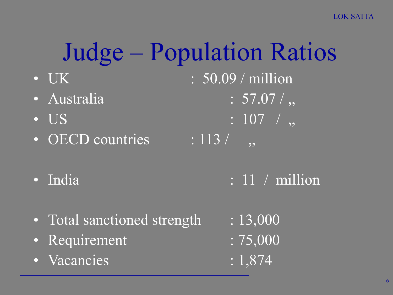LOK SATTA

# Judge – Population Ratios

- UK : 50.09 / million
- Australia  $\cdot$  57.07/,
- 
- OECD countries  $\overline{\hspace{1cm} : 113/}$

• US  $: 107 /$ ,

- 
- India : 11 / million
- Total sanctioned strength : 13,000
- Requirement : 75,000
- Vacancies : 1,874
- 
- 
-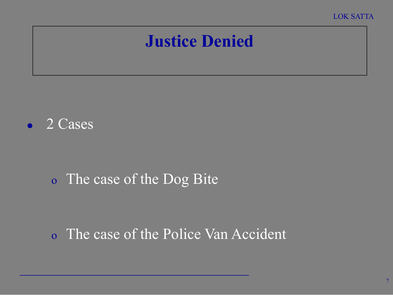## Justice Denied



#### o The case of the Dog Bite

#### o The case of the Police Van Accident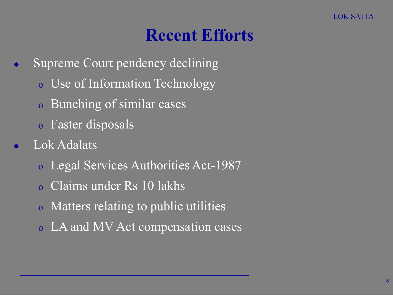#### Recent Efforts

- Supreme Court pendency declining
	- o Use of Information Technology
	- o Bunching of similar cases
	- o Faster disposals
- Lok Adalats
	- o Legal Services Authorities Act-1987
	- o Claims under Rs 10 lakhs
	- o Matters relating to public utilities
	- o LA and MV Act compensation cases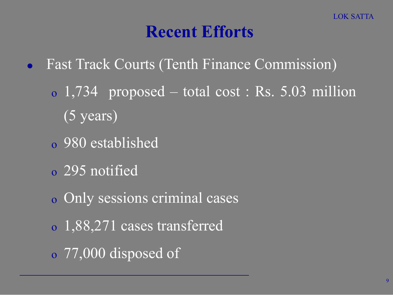#### Recent Efforts

- Fast Track Courts (Tenth Finance Commission)
	- o 1,734 proposed total cost : Rs. 5.03 million (5 years)
	- o 980 established
	- o 295 notified
	- o Only sessions criminal cases
	- o 1,88,271 cases transferred
	- o 77,000 disposed of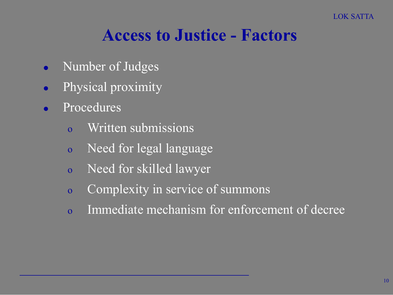#### Access to Justice - Factors

- Number of Judges
- Physical proximity
- Procedures
	- o Written submissions
	- o Need for legal language
	- o Need for skilled lawyer
	- o Complexity in service of summons
	- o Immediate mechanism for enforcement of decree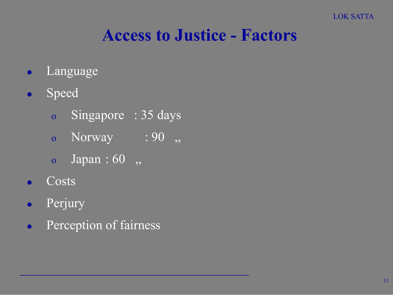#### Access to Justice - Factors

- Language
- **•** Speed
	- o Singapore : 35 days
	- o Norway : 90,
	- o Japan : 60 ,,
- $\overline{\text{Costs}}$
- **•** Perjury
- **•** Perception of fairness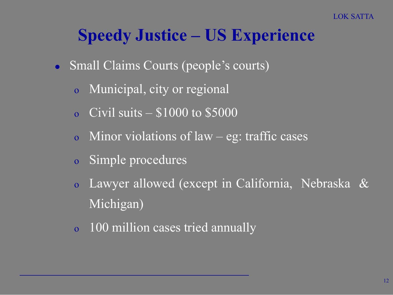#### Speedy Justice – US Experience

- Small Claims Courts (people's courts)
	- o Municipal, city or regional
	- o Civil suits  $-$  \$1000 to \$5000
	- o Minor violations of law eg: traffic cases
	- o Simple procedures
	- o Lawyer allowed (except in California, Nebraska & Michigan)
	- o 100 million cases tried annually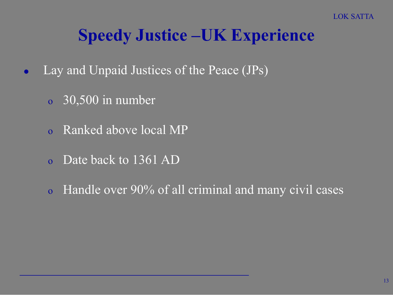### Speedy Justice –UK Experience

- Lay and Unpaid Justices of the Peace (JPs)
	- o 30,500 in number
	- o Ranked above local MP
	- o Date back to 1361 AD
	- o Handle over 90% of all criminal and many civil cases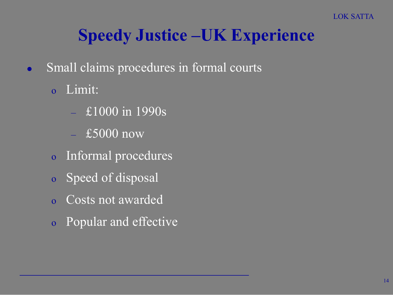# Speedy Justice –UK Experience

- Small claims procedures in formal courts
	- o Limit:
		- £1000 in 1990s
		- $-$  £5000 now
	- o Informal procedures
	- o Speed of disposal
	- o Costs not awarded
	- o Popular and effective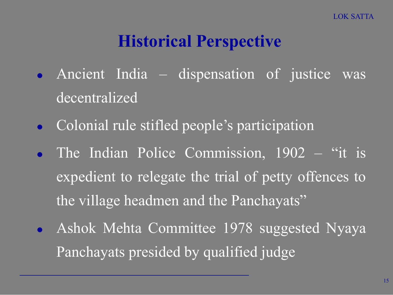# Historical Perspective

- Ancient India dispensation of justice was decentralized
- **Colonial rule stifled people's participation**
- The Indian Police Commission, 1902 "it is expedient to relegate the trial of petty offences to the village headmen and the Panchayats"
- Ashok Mehta Committee 1978 suggested Nyaya Panchayats presided by qualified judge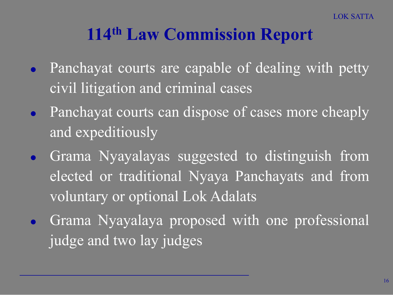# 114th Law Commission Report

- Panchayat courts are capable of dealing with petty civil litigation and criminal cases
- Panchayat courts can dispose of cases more cheaply and expeditiously
- Grama Nyayalayas suggested to distinguish from elected or traditional Nyaya Panchayats and from voluntary or optional Lok Adalats
- Grama Nyayalaya proposed with one professional judge and two lay judges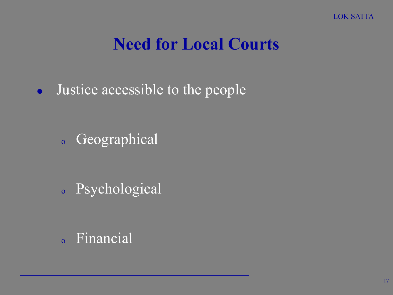#### Need for Local Courts

• Justice accessible to the people

<sup>o</sup> Geographical

<sup>o</sup> Psychological

<sup>o</sup> Financial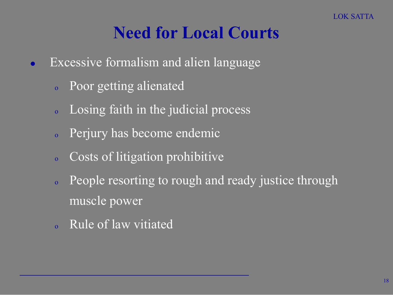### Need for Local Courts

- Excessive formalism and alien language
	- <sup>o</sup> Poor getting alienated
	- <sup>o</sup> Losing faith in the judicial process
	- <sup>o</sup> Perjury has become endemic
	- <sup>o</sup> Costs of litigation prohibitive
	- <sup>o</sup> People resorting to rough and ready justice through muscle power
	- <sup>o</sup> Rule of law vitiated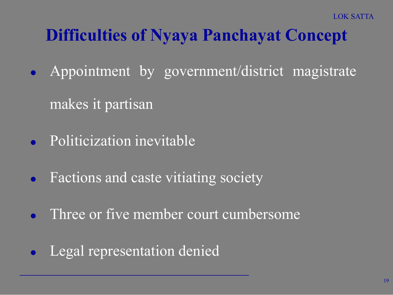# Difficulties of Nyaya Panchayat Concept

- Appointment by government/district magistrate makes it partisan
- Politicization inevitable
- Factions and caste vitiating society
- Three or five member court cumbersome
- Legal representation denied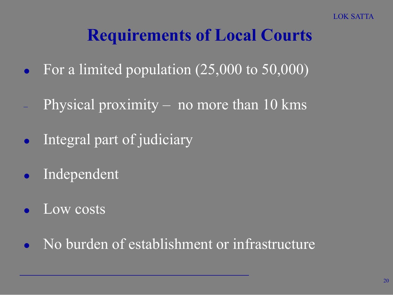# Requirements of Local Courts

- For a limited population (25,000 to 50,000)
- Physical proximity no more than  $10 \text{ km}$ s
- Integral part of judiciary
- Independent
- Low costs
- No burden of establishment or infrastructure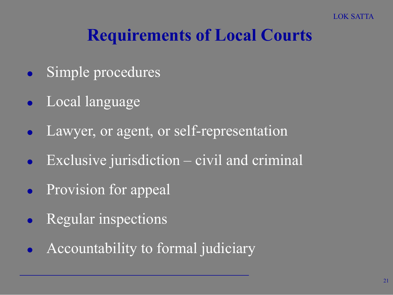# Requirements of Local Courts

- Simple procedures
- Local language
- Lawyer, or agent, or self-representation
- Exclusive jurisdiction civil and criminal
- Provision for appeal
- Regular inspections
- Accountability to formal judiciary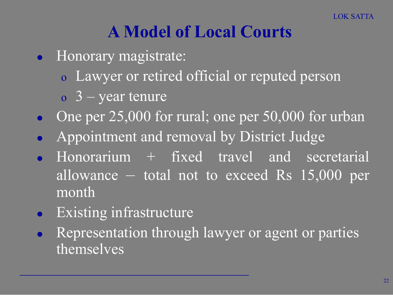# A Model of Local Courts

- Honorary magistrate:
	- o Lawyer or retired official or reputed person
	- $\sigma$  3 year tenure
- One per  $25,000$  for rural; one per  $50,000$  for urban
- Appointment and removal by District Judge
- Honorarium + fixed travel and secretarial allowance – total not to exceed Rs 15,000 per month
- Existing infrastructure
- Representation through lawyer or agent or parties themselves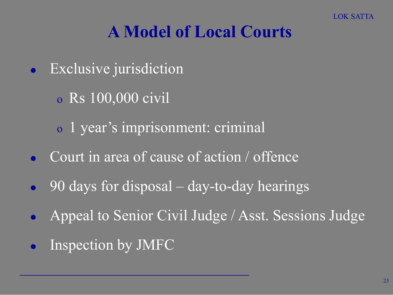# A Model of Local Courts

- Exclusive jurisdiction
	- o Rs 100,000 civil
	- o 1 year's imprisonment: criminal
- Court in area of cause of action / offence
- 90 days for disposal day-to-day hearings
- Appeal to Senior Civil Judge / Asst. Sessions Judge
- Inspection by JMFC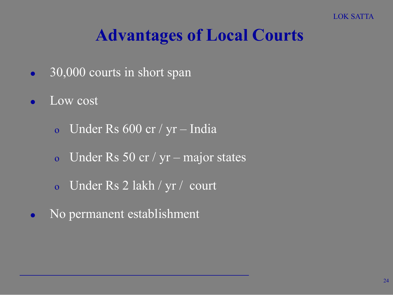# Advantages of Local Courts

- 30,000 courts in short span
- Low cost
	- o Under Rs 600 cr / yr India
	- o Under Rs 50 cr /  $yr major states$
	- o Under Rs 2 lakh / yr / court
- No permanent establishment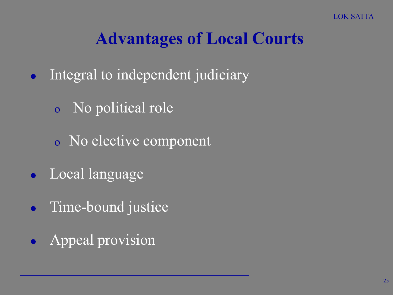# Advantages of Local Courts

- Integral to independent judiciary
	- o No political role
	- o No elective component
- Local language
- Time-bound justice
- Appeal provision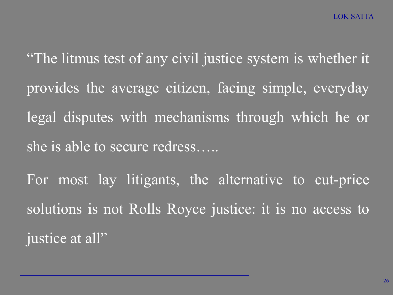"The litmus test of any civil justice system is whether it provides the average citizen, facing simple, everyday legal disputes with mechanisms through which he or she is able to secure redress….. For most lay litigants, the alternative to cut-price solutions is not Rolls Royce justice: it is no access to

justice at all"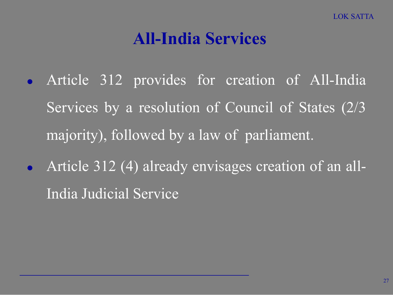#### All-India Services

- Article 312 provides for creation of All-India Services by a resolution of Council of States (2/3 majority), followed by a law of parliament.
- Article 312 (4) already envisages creation of an all-India Judicial Service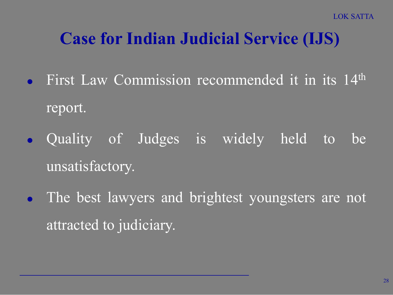# Case for Indian Judicial Service (IJS)

- First Law Commission recommended it in its 14<sup>th</sup> report.
- Quality of Judges is widely held to be unsatisfactory.
- The best lawyers and brightest youngsters are not attracted to judiciary.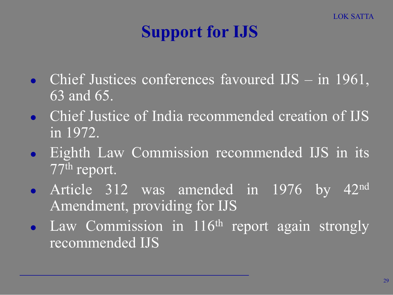# Support for IJS

- Chief Justices conferences favoured IJS in 1961, 63 and 65.
- **Chief Justice of India recommended creation of IJS** in 1972.
- **Eighth Law Commission recommended IJS in its** 77th report.
- Article 312 was amended in 1976 by 42<sup>nd</sup> Amendment, providing for IJS
- Law Commission in  $116<sup>th</sup>$  report again strongly recommended IJS